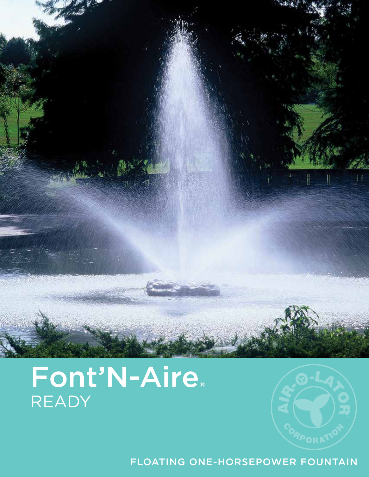

# Font'N-Aire® READY



FLOATING ONE-HORSEPOWER FOUNTAIN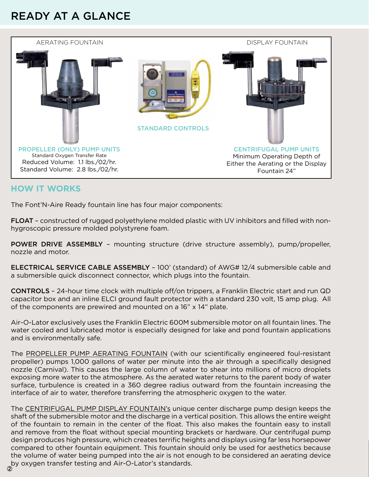## READY AT A GLANCE



#### **HOW IT WORKS**

The Font'N-Aire Ready fountain line has four major components:

FLOAT – constructed of rugged polyethylene molded plastic with UV inhibitors and filled with nonhygroscopic pressure molded polystyrene foam.

POWER DRIVE ASSEMBLY – mounting structure (drive structure assembly), pump/propeller, nozzle and motor.

ELECTRICAL SERVICE CABLE ASSEMBLY – 100' (standard) of AWG# 12/4 submersible cable and a submersible quick disconnect connector, which plugs into the fountain.

CONTROLS – 24-hour time clock with multiple off/on trippers, a Franklin Electric start and run QD capacitor box and an inline ELCI ground fault protector with a standard 230 volt, 15 amp plug. All of the components are prewired and mounted on a 16" x 14" plate.

Air-O-Lator exclusively uses the Franklin Electric 600M submersible motor on all fountain lines. The water cooled and lubricated motor is especially designed for lake and pond fountain applications and is environmentally safe.

The PROPELLER PUMP AERATING FOUNTAIN (with our scientifically engineered foul-resistant propeller) pumps 1,000 gallons of water per minute into the air through a specifically designed nozzle (Carnival). This causes the large column of water to shear into millions of micro droplets exposing more water to the atmosphere. As the aerated water returns to the parent body of water surface, turbulence is created in a 360 degree radius outward from the fountain increasing the interface of air to water, therefore transferring the atmospheric oxygen to the water.

The CENTRIFUGAL PUMP DISPLAY FOUNTAIN's unique center discharge pump design keeps the shaft of the submersible motor and the discharge in a vertical position. This allows the entire weight of the fountain to remain in the center of the float. This also makes the fountain easy to install and remove from the float without special mounting brackets or hardware. Our centrifugal pump design produces high pressure, which creates terrific heights and displays using far less horsepower compared to other fountain equipment. This fountain should only be used for aesthetics because the volume of water being pumped into the air is not enough to be considered an aerating device by oxygen transfer testing and Air-O-Lator's standards. 2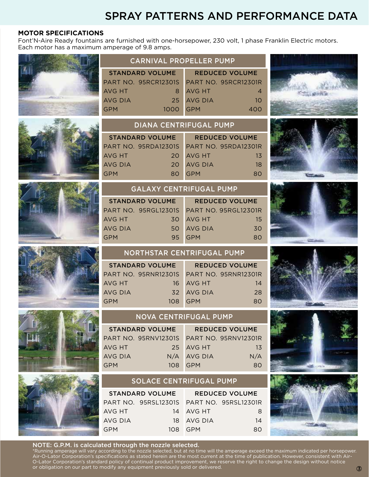## SPRAY PATTERNS AND PERFORMANCE DATA

GPM 400

#### **MOTOR SPECIFICATIONS**

Font'N-Aire Ready fountains are furnished with one-horsepower, 230 volt, 1 phase Franklin Electric motors. Each motor has a maximum amperage of 9.8 amps.













#### CARNIVAL PROPELLER PUMP STANDARD VOLUME PART NO. 95RCR12301S AVG HT
8 AVG DIA 25 REDUCED VOLUME PART NO. 95RCR12301R AVG HT 4 AVG DIA 10



GPM 1000

| <b>REDUCED VOLUME</b>       |  |
|-----------------------------|--|
| <b>PART NO. 95RDA12301R</b> |  |
| 13                          |  |
| 18                          |  |
| 80                          |  |
|                             |  |





#### GALAXY CENTRIFUGAL PUMP

| <b>STANDARD VOLUME</b> | <b>REDUCED VOLUME</b>       |  |
|------------------------|-----------------------------|--|
| PART NO. 95RGL12301S   | <b>PART NO. 95RGL12301R</b> |  |
| AVG HT                 | <b>AVG HT</b>               |  |
| 30                     | 15                          |  |
| AVG DIA                | <b>AVG DIA</b>              |  |
| 50.                    | 30                          |  |
| 95                     | <b>GPM</b>                  |  |
| GPM                    | 80                          |  |



#### NORTHSTAR CENTRIFUGAL PUMP

| <b>STANDARD VOLUME</b> | <b>REDUCED VOLUME</b> |  |
|------------------------|-----------------------|--|
|                        |                       |  |
| AVG HT                 | 16 AVG HT<br>14       |  |
| AVG DIA                | 32 AVG DIA<br>28      |  |
| GPM                    | 108 GPM<br>80         |  |



#### NOVA CENTRIFUGAL PUMP

| <b>STANDARD VOLUME</b>                    | <b>REDUCED VOLUME</b> |  |
|-------------------------------------------|-----------------------|--|
| PART NO. 95RNV12301S PART NO. 95RNV12301R |                       |  |
| AVG HT                                    | 25 AVG HT<br>13       |  |
| AVG DIA                                   | N/A<br>N/A AVG DIA    |  |
| <b>GPM</b>                                | 108 GPM<br>80         |  |

### SOLACE CENTRIFUGAL PUMP

| <b>STANDARD VOLUME</b> |                                           | <b>REDUCED VOLUME</b> |    |
|------------------------|-------------------------------------------|-----------------------|----|
|                        | PART NO. 95RSL12301S PART NO. 95RSL12301R |                       |    |
| AVG HT                 |                                           | 14 AVG HT             | 8  |
| AVG DIA                |                                           | 18 AVG DIA            | 14 |
| GPM                    |                                           | 108 GPM               | റെ |





#### NOTE: G.P.M. is calculated through the nozzle selected.

\*Running amperage will vary according to the nozzle selected, but at no time will the amperage exceed the maximum indicated per horsepower. Air-O-Lator Corporation's specifications as stated herein are the most current at the time of publication. However, consistent with Air-O-Lator Corporation's standard policy of continual product improvement, we reserve the right to change the design without notice or obligation on our part to modify any equipment previously sold or delivered.